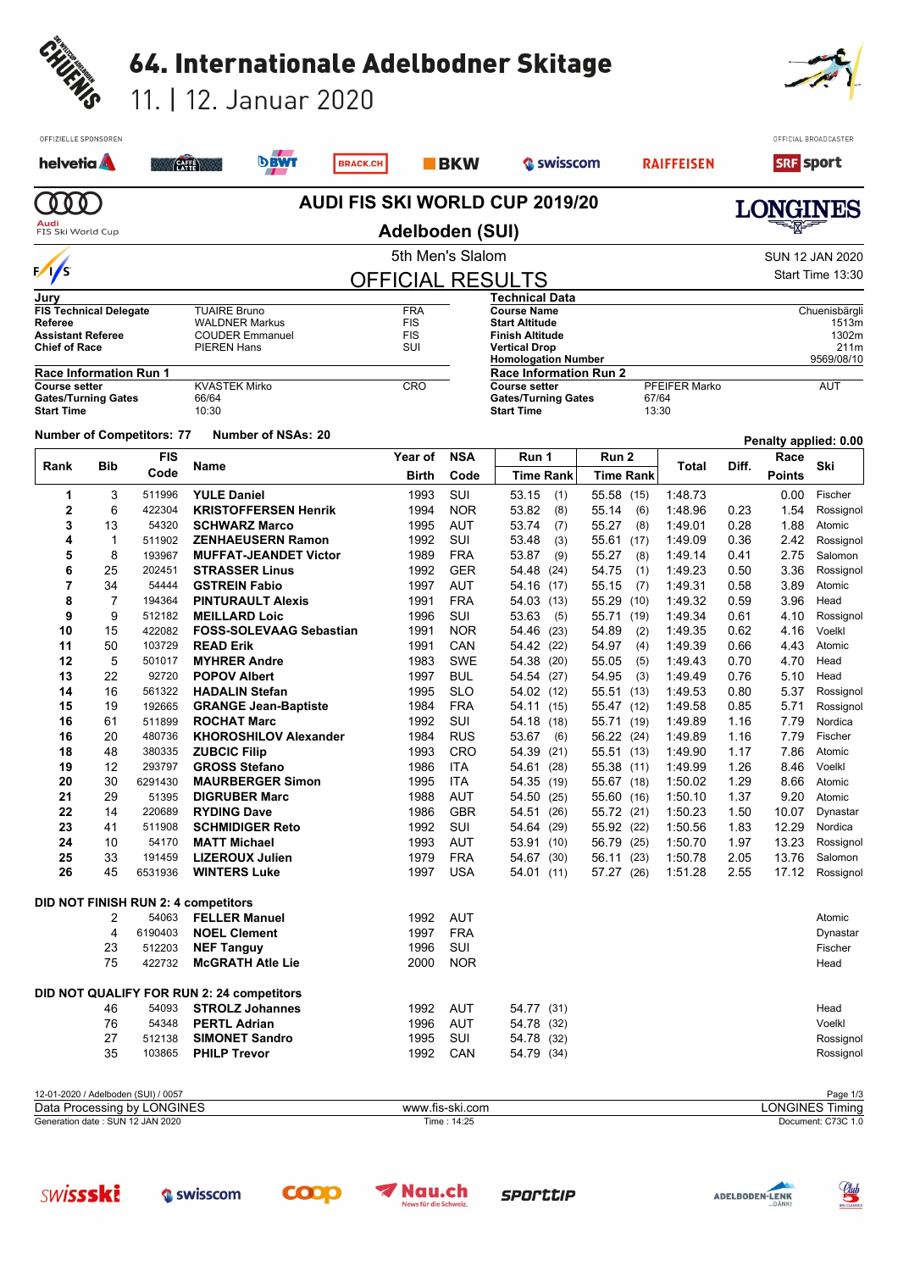|                                                                 |                                                                                            |                                  |                                                             | 64. Internationale Adelbodner Skitage               |                 |                                        |                          |                                                                                               |                                                             |                          |                |                      |              |                       |                                                       |
|-----------------------------------------------------------------|--------------------------------------------------------------------------------------------|----------------------------------|-------------------------------------------------------------|-----------------------------------------------------|-----------------|----------------------------------------|--------------------------|-----------------------------------------------------------------------------------------------|-------------------------------------------------------------|--------------------------|----------------|----------------------|--------------|-----------------------|-------------------------------------------------------|
| CHUENIS                                                         |                                                                                            |                                  |                                                             | 11.   12. Januar 2020                               |                 |                                        |                          |                                                                                               |                                                             |                          |                |                      |              |                       |                                                       |
|                                                                 | OFFIZIELLE SPONSOREN                                                                       |                                  |                                                             |                                                     |                 |                                        |                          |                                                                                               |                                                             |                          |                |                      |              |                       | OFFICIAL BROADCASTER                                  |
|                                                                 | helvetia <b>A</b>                                                                          |                                  | CAFFE                                                       | <b>DBWT</b>                                         | <b>BRACK.CH</b> |                                        | <b>BKW</b>               |                                                                                               | Swisscom                                                    |                          |                | <b>RAIFFEISEN</b>    |              | <b>SRF</b> sport      |                                                       |
|                                                                 | 0 <sub>0</sub>                                                                             |                                  |                                                             |                                                     |                 | <b>AUDI FIS SKI WORLD CUP 2019/20</b>  |                          |                                                                                               |                                                             |                          |                |                      |              |                       |                                                       |
| LONGINES<br>Audi<br><b>Adelboden (SUI)</b><br>FIS Ski World Cup |                                                                                            |                                  |                                                             |                                                     |                 |                                        |                          |                                                                                               |                                                             |                          |                |                      |              |                       |                                                       |
|                                                                 |                                                                                            |                                  |                                                             |                                                     |                 | 5th Men's Slalom                       |                          |                                                                                               |                                                             |                          |                |                      |              |                       | <b>SUN 12 JAN 2020</b>                                |
| $\sqrt{s}$<br>Jurv                                              |                                                                                            |                                  |                                                             |                                                     |                 | <b>OFFICIAL RESULTS</b>                |                          |                                                                                               | Technical Data                                              |                          |                |                      |              |                       | Start Time 13:30                                      |
| <b>Referee</b><br><b>Chief of Race</b>                          | <b>FIS Technical Delegate</b><br><b>Assistant Referee</b><br><b>Race Information Run 1</b> |                                  | <b>TUAIRE Bruno</b><br><b>WALDNER Markus</b><br>PIEREN Hans | <b>COUDER Emmanuel</b>                              |                 | <b>FRA</b><br><b>FIS</b><br>FIS<br>SUI |                          | <b>Course Name</b><br><b>Start Altitude</b><br><b>Finish Altitude</b><br><b>Vertical Drop</b> | <b>Homologation Number</b><br><b>Race Information Run 2</b> |                          |                |                      |              |                       | Chuenisbärgli<br>1513m<br>1302m<br>211m<br>9569/08/10 |
| <b>Course setter</b><br><b>Start Time</b>                       | <b>Gates/Turning Gates</b>                                                                 |                                  | <b>KVASTEK Mirko</b><br>66/64<br>10:30                      |                                                     |                 | <b>CRO</b>                             |                          | <b>Course setter</b><br><b>Start Time</b>                                                     | <b>Gates/Turning Gates</b>                                  |                          | 67/64<br>13:30 | <b>PFEIFER Marko</b> |              |                       | <b>AUT</b>                                            |
|                                                                 |                                                                                            | <b>Number of Competitors: 77</b> |                                                             | <b>Number of NSAs: 20</b>                           |                 |                                        |                          |                                                                                               |                                                             |                          |                |                      |              |                       | Penalty applied: 0.00                                 |
| Rank                                                            | Bib                                                                                        | <b>FIS</b><br>Code               | Name                                                        |                                                     |                 | Year of<br>Birth                       | <b>NSA</b><br>Code       |                                                                                               | Run 1<br><b>Time Rank</b>                                   | Run 2                    | Time Rank      | Total                | Diff.        | Race<br><b>Points</b> | Ski                                                   |
| 1                                                               | 3                                                                                          | 511996                           | <b>YULE Daniel</b>                                          |                                                     |                 | 1993                                   | SUI                      | 53.15                                                                                         | (1)                                                         | 55.58 (15)               |                | 1:48.73              |              | 0.00                  | Fischer                                               |
| $\mathbf 2$<br>3                                                | 6<br>13                                                                                    | 422304<br>54320                  |                                                             | <b>KRISTOFFERSEN Henrik</b><br><b>SCHWARZ Marco</b> |                 | 1994<br>1995                           | <b>NOR</b><br><b>AUT</b> | 53.82<br>53.74                                                                                | (8)<br>(7)                                                  | 55.14<br>55.27           | (6)<br>(8)     | 1:48.96<br>1:49.01   | 0.23<br>0.28 | 1.54<br>1.88          | Rossignol<br>Atomic                                   |
| 4                                                               | $\mathbf 1$                                                                                | 511902                           |                                                             | <b>ZENHAEUSERN Ramon</b>                            |                 | 1992                                   | SUI                      | 53.48                                                                                         | (3)                                                         | 55.61                    | (17)           | 1:49.09              | 0.36         | 2.42                  | Rossignol                                             |
| 5                                                               | 8                                                                                          | 193967                           |                                                             | <b>MUFFAT-JEANDET Victor</b>                        |                 | 1989                                   | <b>FRA</b>               | 53.87                                                                                         | (9)                                                         | 55.27                    | (8)            | 1:49.14              | 0.41         | 2.75                  | Salomon                                               |
| 6                                                               | 25                                                                                         | 202451                           |                                                             | <b>STRASSER Linus</b>                               |                 | 1992                                   | <b>GER</b>               | 54.48                                                                                         | (24)                                                        | 54.75                    | (1)            | 1:49.23              | 0.50         | 3.36                  | Rossignol                                             |
| 7<br>8                                                          | 34<br>7                                                                                    | 54444<br>194364                  | <b>GSTREIN Fabio</b>                                        | <b>PINTURAULT Alexis</b>                            |                 | 1997<br>1991                           | AUT<br><b>FRA</b>        | 54.16                                                                                         | (17)<br>54.03 (13)                                          | 55.15<br>55.29           | (7)<br>(10)    | 1:49.31<br>1:49.32   | 0.58<br>0.59 | 3.89<br>3.96          | Atomic<br>Head                                        |
| 9                                                               | 9                                                                                          | 512182                           | <b>MEILLARD Loic</b>                                        |                                                     |                 | 1996                                   | SUI                      | 53.63                                                                                         | (5)                                                         | 55.71                    | (19)           | 1:49.34              | 0.61         | 4.10                  | Rossignol                                             |
| 10                                                              | 15                                                                                         | 422082                           |                                                             | <b>FOSS-SOLEVAAG Sebastian</b>                      |                 | 1991                                   | <b>NOR</b>               | 54.46                                                                                         | (23)                                                        | 54.89                    | (2)            | 1:49.35              | 0.62         | 4.16                  | Voelkl                                                |
| 11                                                              | 50                                                                                         | 103729                           | <b>READ Erik</b>                                            |                                                     |                 | 1991                                   | CAN                      | 54.42                                                                                         | (22)                                                        | 54.97                    | (4)            | 1:49.39              | 0.66         | 4.43                  | Atomic                                                |
| 12                                                              | 5                                                                                          | 501017                           | <b>MYHRER Andre</b>                                         |                                                     |                 | 1983                                   | <b>SWE</b>               | 54.38                                                                                         | (20)                                                        | 55.05                    | (5)            | 1:49.43              | 0.70         | 4.70                  | Head                                                  |
| 13<br>14                                                        | 22<br>16                                                                                   | 92720<br>561322                  | <b>POPOV Albert</b><br><b>HADALIN Stefan</b>                |                                                     |                 | 1997<br>1995                           | <b>BUL</b><br><b>SLO</b> |                                                                                               | 54.54 (27)                                                  | 54.95                    | (3)            | 1:49.49<br>1:49.53   | 0.76<br>0.80 | 5.10                  | Head                                                  |
| 15                                                              | 19                                                                                         | 192665                           |                                                             | <b>GRANGE Jean-Baptiste</b>                         |                 | 1984                                   | <b>FRA</b>               |                                                                                               | 54.02 (12)<br>54.11 (15)                                    | 55.51 (13)<br>55.47 (12) |                | 1:49.58              | 0.85         | 5.71                  | 5.37 Rossignol<br>Rossignol                           |
| 16                                                              | 61                                                                                         | 511899                           | <b>ROCHAT Marc</b>                                          |                                                     |                 | 1992                                   | SUI                      |                                                                                               | 54.18 (18)                                                  | 55.71 (19)               |                | 1:49.89              | 1.16         | 7.79                  | Nordica                                               |
| 16                                                              | 20                                                                                         | 480736                           |                                                             | <b>KHOROSHILOV Alexander</b>                        |                 | 1984                                   | <b>RUS</b>               | 53.67                                                                                         | (6)                                                         | 56.22 (24)               |                | 1:49.89              | 1.16         | 7.79                  | Fischer                                               |
| 18                                                              | 48                                                                                         | 380335                           | <b>ZUBCIC Filip</b>                                         |                                                     |                 | 1993                                   | CRO                      |                                                                                               | 54.39 (21)                                                  | 55.51 (13)               |                | 1.49.90              | 1.17         | 7.86                  | Atomic                                                |
| 19<br>20                                                        | 12<br>30                                                                                   | 293797<br>6291430                | <b>GROSS Stefano</b>                                        | <b>MAURBERGER Simon</b>                             |                 | 1986<br>1995                           | ITA<br>ITA               |                                                                                               | 54.61 (28)<br>54.35 (19)                                    | 55.38 (11)<br>55.67 (18) |                | 1.49.99<br>1:50.02   | 1.26<br>1.29 | 8.46<br>8.66          | Voelkl<br>Atomic                                      |
| 21                                                              | 29                                                                                         | 51395                            |                                                             | <b>DIGRUBER Marc</b>                                |                 | 1988                                   | <b>AUT</b>               |                                                                                               | 54.50 (25)                                                  | 55.60 (16)               |                | 1:50.10              | 1.37         | 9.20                  | Atomic                                                |
| 22                                                              | 14                                                                                         | 220689                           | <b>RYDING Dave</b>                                          |                                                     |                 | 1986                                   | <b>GBR</b>               |                                                                                               | 54.51 (26)                                                  | 55.72 (21)               |                | 1:50.23              | 1.50         | 10.07                 | Dynastar                                              |
| 23                                                              | 41                                                                                         | 511908                           |                                                             | <b>SCHMIDIGER Reto</b>                              |                 | 1992                                   | SUI                      |                                                                                               | 54.64 (29)                                                  | 55.92 (22)               |                | 1:50.56              | 1.83         | 12.29                 | Nordica                                               |
| 24                                                              | 10                                                                                         | 54170                            | <b>MATT Michael</b>                                         |                                                     |                 | 1993                                   | <b>AUT</b>               |                                                                                               | 53.91 (10)                                                  | 56.79 (25)               |                | 1:50.70              | 1.97         | 13.23                 | Rossignol                                             |
| 25<br>26                                                        | 33<br>45                                                                                   | 191459<br>6531936                | <b>WINTERS Luke</b>                                         | <b>LIZEROUX Julien</b>                              |                 | 1979<br>1997                           | <b>FRA</b><br><b>USA</b> |                                                                                               | 54.67 (30)<br>54.01 (11)                                    | 56.11 (23)<br>57.27 (26) |                | 1:50.78<br>1:51.28   | 2.05<br>2.55 | 13.76<br>17.12        | Salomon<br>Rossignol                                  |
| <b>DID NOT FINISH RUN 2: 4 competitors</b>                      |                                                                                            |                                  |                                                             |                                                     |                 |                                        |                          |                                                                                               |                                                             |                          |                |                      |              |                       |                                                       |
|                                                                 | 2                                                                                          | 54063                            | <b>FELLER Manuel</b>                                        |                                                     |                 | 1992                                   | <b>AUT</b>               |                                                                                               |                                                             |                          |                |                      |              |                       | Atomic                                                |
|                                                                 | 4<br>23                                                                                    | 6190403<br>512203                | <b>NOEL Clement</b><br><b>NEF Tanguy</b>                    |                                                     |                 | 1997<br>1996                           | <b>FRA</b><br>SUI        |                                                                                               |                                                             |                          |                |                      |              |                       | Dynastar<br>Fischer                                   |
|                                                                 | 75                                                                                         | 422732                           |                                                             | <b>McGRATH Atle Lie</b>                             |                 | 2000                                   | <b>NOR</b>               |                                                                                               |                                                             |                          |                |                      |              |                       | Head                                                  |
|                                                                 |                                                                                            |                                  |                                                             | DID NOT QUALIFY FOR RUN 2: 24 competitors           |                 |                                        |                          |                                                                                               |                                                             |                          |                |                      |              |                       |                                                       |
|                                                                 | 46                                                                                         | 54093                            |                                                             | <b>STROLZ Johannes</b>                              |                 | 1992                                   | AUT                      |                                                                                               | 54.77 (31)                                                  |                          |                |                      |              |                       | Head                                                  |
|                                                                 | 76<br>27                                                                                   | 54348<br>512138                  | <b>PERTL Adrian</b>                                         | <b>SIMONET Sandro</b>                               |                 | 1996<br>1995                           | AUT<br>SUI               |                                                                                               | 54.78 (32)                                                  |                          |                |                      |              |                       | Voelkl<br>Rossignol                                   |
|                                                                 | 35                                                                                         | 103865                           | <b>PHILP Trevor</b>                                         |                                                     |                 | 1992                                   | CAN                      |                                                                                               | 54.78 (32)<br>54.79 (34)                                    |                          |                |                      |              |                       | Rossignol                                             |
|                                                                 | 12.01.2020 / Adolbodon (CLII) / 0057                                                       |                                  |                                                             |                                                     |                 |                                        |                          |                                                                                               |                                                             |                          |                |                      | Dogo $1/2$   |                       |                                                       |









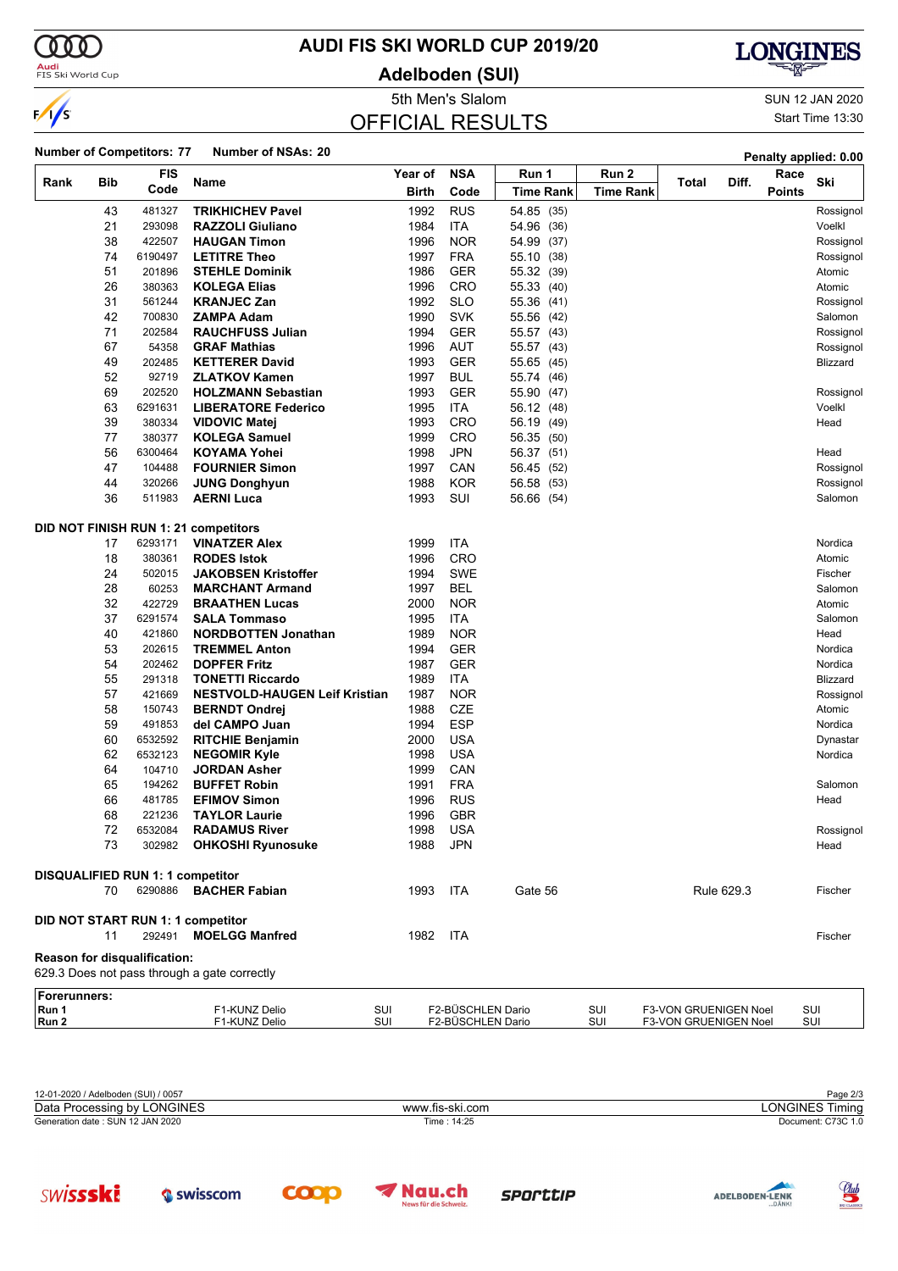$\alpha\sigma$ 

 $\frac{1}{s}$ 

Audi<br>FIS Ski World Cup

**SWISSSKi** 

Swisscom

## **AUDI FIS SKI WORLD CUP 2019/20**

**Adelboden (SUI)**

OFFICIAL RESULTS



5th Men's Slalom SUN 12 JAN 2020 Start Time 13:30

<u>Club</u>

ADELBODEN-LENK

|                       |            | <b>Number of Competitors: 77</b>        | <b>Number of NSAs: 20</b>                    |     |         |                   |                  |                  |                       |            |               | Penalty applied: 0.00 |
|-----------------------|------------|-----------------------------------------|----------------------------------------------|-----|---------|-------------------|------------------|------------------|-----------------------|------------|---------------|-----------------------|
|                       |            | <b>FIS</b>                              |                                              |     | Year of | <b>NSA</b>        | Run 1            | Run 2            |                       | Diff.      | Race          | Ski                   |
| Rank                  | <b>Bib</b> | Code                                    | Name                                         |     | Birth   | Code              | <b>Time Rank</b> | <b>Time Rank</b> | Total                 |            | <b>Points</b> |                       |
|                       | 43         | 481327                                  | <b>TRIKHICHEV Pavel</b>                      |     | 1992    | <b>RUS</b>        | 54.85 (35)       |                  |                       |            |               | Rossignol             |
|                       | 21         | 293098                                  | <b>RAZZOLI Giuliano</b>                      |     | 1984    | <b>ITA</b>        | 54.96 (36)       |                  |                       |            |               | Voelkl                |
|                       | 38         | 422507                                  | <b>HAUGAN Timon</b>                          |     | 1996    | <b>NOR</b>        | 54.99 (37)       |                  |                       |            |               | Rossignol             |
|                       | 74         | 6190497                                 | <b>LETITRE Theo</b>                          |     | 1997    | <b>FRA</b>        | 55.10 (38)       |                  |                       |            |               | Rossignol             |
|                       | 51         | 201896                                  | <b>STEHLE Dominik</b>                        |     | 1986    | <b>GER</b>        | 55.32 (39)       |                  |                       |            |               | Atomic                |
|                       | 26         | 380363                                  | <b>KOLEGA Elias</b>                          |     | 1996    | CRO               | 55.33 (40)       |                  |                       |            |               | Atomic                |
|                       | 31         | 561244                                  | <b>KRANJEC Zan</b>                           |     | 1992    | <b>SLO</b>        | 55.36 (41)       |                  |                       |            |               | Rossignol             |
|                       | 42         | 700830                                  | <b>ZAMPA Adam</b>                            |     | 1990    | <b>SVK</b>        | 55.56 (42)       |                  |                       |            |               | Salomon               |
|                       | 71         | 202584                                  | <b>RAUCHFUSS Julian</b>                      |     | 1994    | <b>GER</b>        | 55.57 (43)       |                  |                       |            |               | Rossignol             |
|                       | 67         | 54358                                   | <b>GRAF Mathias</b>                          |     | 1996    | <b>AUT</b>        | 55.57 (43)       |                  |                       |            |               | Rossignol             |
|                       | 49         | 202485                                  | <b>KETTERER David</b>                        |     | 1993    | <b>GER</b>        | 55.65 (45)       |                  |                       |            |               | Blizzard              |
|                       | 52         | 92719                                   | <b>ZLATKOV Kamen</b>                         |     | 1997    | <b>BUL</b>        | 55.74 (46)       |                  |                       |            |               |                       |
|                       | 69         | 202520                                  | <b>HOLZMANN Sebastian</b>                    |     | 1993    | <b>GER</b>        | 55.90 (47)       |                  |                       |            |               | Rossignol             |
|                       | 63         | 6291631                                 | <b>LIBERATORE Federico</b>                   |     | 1995    | ITA               | 56.12 (48)       |                  |                       |            |               | Voelkl                |
|                       | 39         | 380334                                  | <b>VIDOVIC Matej</b>                         |     | 1993    | CRO               | 56.19 (49)       |                  |                       |            |               | Head                  |
|                       | 77         | 380377                                  | <b>KOLEGA Samuel</b>                         |     | 1999    | <b>CRO</b>        | 56.35 (50)       |                  |                       |            |               |                       |
|                       | 56         | 6300464                                 | <b>KOYAMA Yohei</b>                          |     | 1998    | <b>JPN</b>        | 56.37 (51)       |                  |                       |            |               | Head                  |
|                       | 47         | 104488                                  | <b>FOURNIER Simon</b>                        |     | 1997    | CAN               | 56.45 (52)       |                  |                       |            |               | Rossignol             |
|                       | 44         | 320266                                  | <b>JUNG Donghyun</b>                         |     | 1988    | <b>KOR</b>        | 56.58 (53)       |                  |                       |            |               | Rossignol             |
|                       | 36         | 511983                                  | <b>AERNI Luca</b>                            |     | 1993    | SUI               | 56.66 (54)       |                  |                       |            |               | Salomon               |
|                       |            |                                         |                                              |     |         |                   |                  |                  |                       |            |               |                       |
|                       |            |                                         | DID NOT FINISH RUN 1: 21 competitors         |     |         |                   |                  |                  |                       |            |               |                       |
|                       |            | 6293171                                 |                                              |     |         | <b>ITA</b>        |                  |                  |                       |            |               |                       |
|                       | 17         |                                         | <b>VINATZER Alex</b>                         |     | 1999    | CRO               |                  |                  |                       |            |               | Nordica               |
|                       | 18         | 380361                                  | <b>RODES Istok</b>                           |     | 1996    | <b>SWE</b>        |                  |                  |                       |            |               | Atomic                |
|                       | 24         | 502015                                  | <b>JAKOBSEN Kristoffer</b>                   |     | 1994    |                   |                  |                  |                       |            |               | Fischer               |
|                       | 28         | 60253                                   | <b>MARCHANT Armand</b>                       |     | 1997    | <b>BEL</b>        |                  |                  |                       |            |               | Salomon               |
|                       | 32         | 422729                                  | <b>BRAATHEN Lucas</b>                        |     | 2000    | <b>NOR</b>        |                  |                  |                       |            |               | Atomic                |
|                       | 37         | 6291574                                 | <b>SALA Tommaso</b>                          |     | 1995    | <b>ITA</b>        |                  |                  |                       |            |               | Salomon               |
|                       | 40         | 421860                                  | <b>NORDBOTTEN Jonathan</b>                   |     | 1989    | <b>NOR</b>        |                  |                  |                       |            |               | Head                  |
|                       | 53         | 202615                                  | <b>TREMMEL Anton</b>                         |     | 1994    | <b>GER</b>        |                  |                  |                       |            |               | Nordica               |
|                       | 54         | 202462                                  | <b>DOPFER Fritz</b>                          |     | 1987    | <b>GER</b>        |                  |                  |                       |            |               | Nordica               |
|                       | 55         | 291318                                  | <b>TONETTI Riccardo</b>                      |     | 1989    | <b>ITA</b>        |                  |                  |                       |            |               | Blizzard              |
|                       | 57         | 421669                                  | <b>NESTVOLD-HAUGEN Leif Kristian</b>         |     | 1987    | <b>NOR</b>        |                  |                  |                       |            |               | Rossignol             |
|                       | 58         | 150743                                  | <b>BERNDT Ondrej</b>                         |     | 1988    | <b>CZE</b>        |                  |                  |                       |            |               | Atomic                |
|                       | 59         | 491853                                  | del CAMPO Juan                               |     | 1994    | <b>ESP</b>        |                  |                  |                       |            |               | Nordica               |
|                       | 60         | 6532592                                 | <b>RITCHIE Benjamin</b>                      |     | 2000    | <b>USA</b>        |                  |                  |                       |            |               | Dynastar              |
|                       | 62         | 6532123                                 | <b>NEGOMIR Kyle</b>                          |     | 1998    | <b>USA</b>        |                  |                  |                       |            |               | Nordica               |
|                       | 64         | 104710                                  | <b>JORDAN Asher</b>                          |     | 1999    | CAN               |                  |                  |                       |            |               |                       |
|                       | 65         | 194262                                  | <b>BUFFET Robin</b>                          |     | 1991    | <b>FRA</b>        |                  |                  |                       |            |               | Salomon               |
|                       | 66         | 481785                                  | <b>EFIMOV Simon</b>                          |     | 1996    | <b>RUS</b>        |                  |                  |                       |            |               | Head                  |
|                       | 68         | 221236                                  | <b>TAYLOR Laurie</b>                         |     | 1996    | <b>GBR</b>        |                  |                  |                       |            |               |                       |
|                       | 72         | 6532084                                 | <b>RADAMUS River</b>                         |     | 1998    | <b>USA</b>        |                  |                  |                       |            |               | Rossignol             |
|                       | 73         | 302982                                  | <b>OHKOSHI Ryunosuke</b>                     |     | 1988    | <b>JPN</b>        |                  |                  |                       |            |               | Head                  |
|                       |            |                                         |                                              |     |         |                   |                  |                  |                       |            |               |                       |
|                       |            | <b>DISQUALIFIED RUN 1: 1 competitor</b> |                                              |     |         |                   |                  |                  |                       |            |               |                       |
|                       | 70         | 6290886                                 | <b>BACHER Fabian</b>                         |     | 1993    | <b>ITA</b>        | Gate 56          |                  |                       | Rule 629.3 |               | Fischer               |
|                       |            |                                         |                                              |     |         |                   |                  |                  |                       |            |               |                       |
|                       |            |                                         | DID NOT START RUN 1: 1 competitor            |     |         |                   |                  |                  |                       |            |               |                       |
|                       | 11         | 292491                                  | <b>MOELGG Manfred</b>                        |     | 1982    | ITA               |                  |                  |                       |            |               | Fischer               |
|                       |            | Reason for disqualification:            |                                              |     |         |                   |                  |                  |                       |            |               |                       |
|                       |            |                                         | 629.3 Does not pass through a gate correctly |     |         |                   |                  |                  |                       |            |               |                       |
|                       |            |                                         |                                              |     |         |                   |                  |                  |                       |            |               |                       |
| Forerunners:<br>Run 1 |            |                                         | F1-KUNZ Delio                                | SUI |         | F2-BÜSCHLEN Dario |                  | SUI              | F3-VON GRUENIGEN Noel |            |               | SUI                   |
| Run 2                 |            |                                         | F1-KUNZ Delio                                | SUI |         | F2-BÜSCHLEN Dario |                  | SUI              | F3-VON GRUENIGEN Noel |            |               | SUI                   |
|                       |            |                                         |                                              |     |         |                   |                  |                  |                       |            |               |                       |

| 12-01-2020 / Adelboden (SUI) / 0057 | Page 2/3        |                    |  |
|-------------------------------------|-----------------|--------------------|--|
| Data Processing by LONGINES         | www.fis-ski.com | _ONGINES Timina    |  |
| Generation date: SUN 12 JAN 2020    | Time: 14:25     | Document: C73C 1.0 |  |

**SPOCTUP** 

Nau.ch

**COOP**